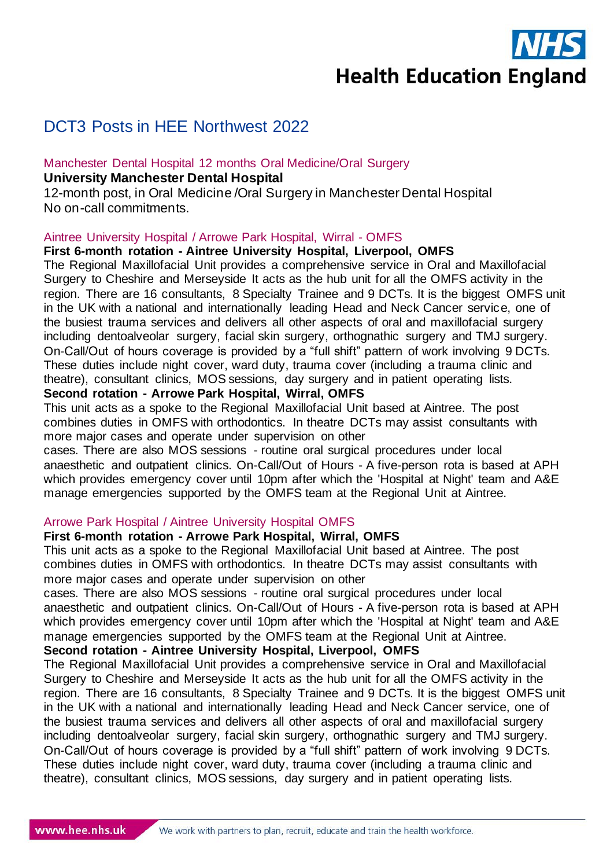**Health Education England** 

# DCT3 Posts in HEE Northwest 2022

#### Manchester Dental Hospital 12 months Oral Medicine/Oral Surgery **University Manchester Dental Hospital**

12-month post, in Oral Medicine /Oral Surgery in Manchester Dental Hospital No on-call commitments.

#### Aintree University Hospital / Arrowe Park Hospital, Wirral - OMFS

#### **First 6-month rotation - Aintree University Hospital, Liverpool, OMFS**

The Regional Maxillofacial Unit provides a comprehensive service in Oral and Maxillofacial Surgery to Cheshire and Merseyside It acts as the hub unit for all the OMFS activity in the region. There are 16 consultants, 8 Specialty Trainee and 9 DCTs. It is the biggest OMFS unit in the UK with a national and internationally leading Head and Neck Cancer service, one of the busiest trauma services and delivers all other aspects of oral and maxillofacial surgery including dentoalveolar surgery, facial skin surgery, orthognathic surgery and TMJ surgery. On-Call/Out of hours coverage is provided by a "full shift" pattern of work involving 9 DCTs. These duties include night cover, ward duty, trauma cover (including a trauma clinic and theatre), consultant clinics, MOS sessions, day surgery and in patient operating lists.

### **Second rotation - Arrowe Park Hospital, Wirral, OMFS**

This unit acts as a spoke to the Regional Maxillofacial Unit based at Aintree. The post combines duties in OMFS with orthodontics. In theatre DCTs may assist consultants with more major cases and operate under supervision on other

cases. There are also MOS sessions - routine oral surgical procedures under local anaesthetic and outpatient clinics. On-Call/Out of Hours - A five-person rota is based at APH which provides emergency cover until 10pm after which the 'Hospital at Night' team and A&E manage emergencies supported by the OMFS team at the Regional Unit at Aintree.

#### Arrowe Park Hospital / Aintree University Hospital OMFS

#### **First 6-month rotation - Arrowe Park Hospital, Wirral, OMFS**

This unit acts as a spoke to the Regional Maxillofacial Unit based at Aintree. The post combines duties in OMFS with orthodontics. In theatre DCTs may assist consultants with more major cases and operate under supervision on other

cases. There are also MOS sessions - routine oral surgical procedures under local anaesthetic and outpatient clinics. On-Call/Out of Hours - A five-person rota is based at APH which provides emergency cover until 10pm after which the 'Hospital at Night' team and A&E manage emergencies supported by the OMFS team at the Regional Unit at Aintree.

### **Second rotation - Aintree University Hospital, Liverpool, OMFS**

The Regional Maxillofacial Unit provides a comprehensive service in Oral and Maxillofacial Surgery to Cheshire and Merseyside It acts as the hub unit for all the OMFS activity in the region. There are 16 consultants, 8 Specialty Trainee and 9 DCTs. It is the biggest OMFS unit in the UK with a national and internationally leading Head and Neck Cancer service, one of the busiest trauma services and delivers all other aspects of oral and maxillofacial surgery including dentoalveolar surgery, facial skin surgery, orthognathic surgery and TMJ surgery. On-Call/Out of hours coverage is provided by a "full shift" pattern of work involving 9 DCTs. These duties include night cover, ward duty, trauma cover (including a trauma clinic and theatre), consultant clinics, MOS sessions, day surgery and in patient operating lists.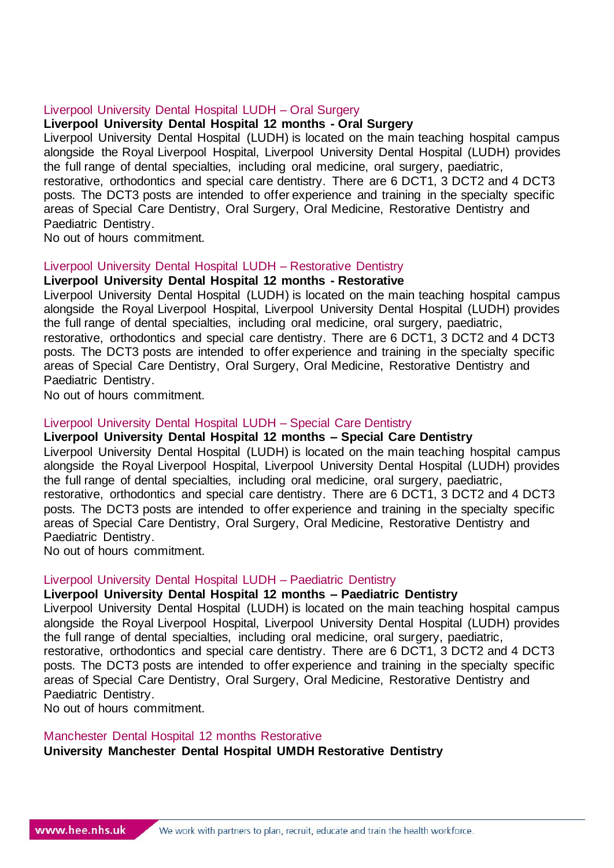#### Liverpool University Dental Hospital LUDH – Oral Surgery

## **Liverpool University Dental Hospital 12 months - Oral Surgery**

Liverpool University Dental Hospital (LUDH) is located on the main teaching hospital campus alongside the Royal Liverpool Hospital, Liverpool University Dental Hospital (LUDH) provides the full range of dental specialties, including oral medicine, oral surgery, paediatric, restorative, orthodontics and special care dentistry. There are 6 DCT1, 3 DCT2 and 4 DCT3 posts. The DCT3 posts are intended to offer experience and training in the specialty specific areas of Special Care Dentistry, Oral Surgery, Oral Medicine, Restorative Dentistry and Paediatric Dentistry.

No out of hours commitment.

# Liverpool University Dental Hospital LUDH – Restorative Dentistry

## **Liverpool University Dental Hospital 12 months - Restorative**

Liverpool University Dental Hospital (LUDH) is located on the main teaching hospital campus alongside the Royal Liverpool Hospital, Liverpool University Dental Hospital (LUDH) provides the full range of dental specialties, including oral medicine, oral surgery, paediatric, restorative, orthodontics and special care dentistry. There are 6 DCT1, 3 DCT2 and 4 DCT3 posts. The DCT3 posts are intended to offer experience and training in the specialty specific areas of Special Care Dentistry, Oral Surgery, Oral Medicine, Restorative Dentistry and Paediatric Dentistry.

No out of hours commitment.

# Liverpool University Dental Hospital LUDH – Special Care Dentistry

# **Liverpool University Dental Hospital 12 months – Special Care Dentistry**

Liverpool University Dental Hospital (LUDH) is located on the main teaching hospital campus alongside the Royal Liverpool Hospital, Liverpool University Dental Hospital (LUDH) provides the full range of dental specialties, including oral medicine, oral surgery, paediatric, restorative, orthodontics and special care dentistry. There are 6 DCT1, 3 DCT2 and 4 DCT3 posts. The DCT3 posts are intended to offer experience and training in the specialty specific areas of Special Care Dentistry, Oral Surgery, Oral Medicine, Restorative Dentistry and Paediatric Dentistry.

No out of hours commitment.

## Liverpool University Dental Hospital LUDH – Paediatric Dentistry

## **Liverpool University Dental Hospital 12 months – Paediatric Dentistry**

Liverpool University Dental Hospital (LUDH) is located on the main teaching hospital campus alongside the Royal Liverpool Hospital, Liverpool University Dental Hospital (LUDH) provides the full range of dental specialties, including oral medicine, oral surgery, paediatric, restorative, orthodontics and special care dentistry. There are 6 DCT1, 3 DCT2 and 4 DCT3 posts. The DCT3 posts are intended to offer experience and training in the specialty specific areas of Special Care Dentistry, Oral Surgery, Oral Medicine, Restorative Dentistry and Paediatric Dentistry.

No out of hours commitment.

# Manchester Dental Hospital 12 months Restorative

**University Manchester Dental Hospital UMDH Restorative Dentistry**